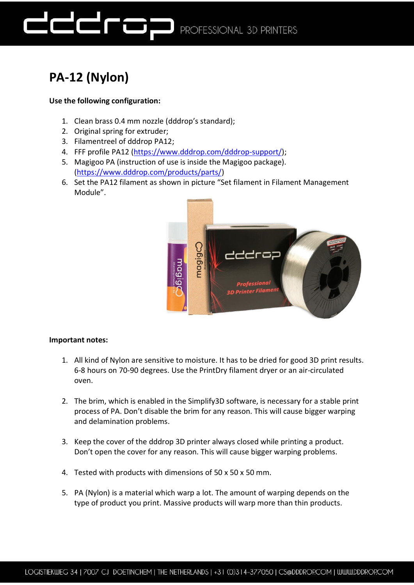

## **PA-12 (Nylon)**

### **Use the following configuration:**

- 1. Clean brass 0.4 mm nozzle (dddrop's standard);
- 2. Original spring for extruder;
- 3. Filamentreel of dddrop PA12;
- 4. FFF profile PA12 [\(https://www.dddrop.com/dddrop-support/\)](https://www.dddrop.com/dddrop-support/);
- 5. Magigoo PA (instruction of use is inside the Magigoo package). [\(https://www.dddrop.com/products/parts/\)](https://www.dddrop.com/products/parts/)
- 6. Set the PA12 filament as shown in picture "Set filament in Filament Management Module".



#### **Important notes:**

- 1. All kind of Nylon are sensitive to moisture. It has to be dried for good 3D print results. 6-8 hours on 70-90 degrees. Use the PrintDry filament dryer or an air-circulated oven.
- 2. The brim, which is enabled in the Simplify3D software, is necessary for a stable print process of PA. Don't disable the brim for any reason. This will cause bigger warping and delamination problems.
- 3. Keep the cover of the dddrop 3D printer always closed while printing a product. Don't open the cover for any reason. This will cause bigger warping problems.
- 4. Tested with products with dimensions of 50 x 50 x 50 mm.
- 5. PA (Nylon) is a material which warp a lot. The amount of warping depends on the type of product you print. Massive products will warp more than thin products.